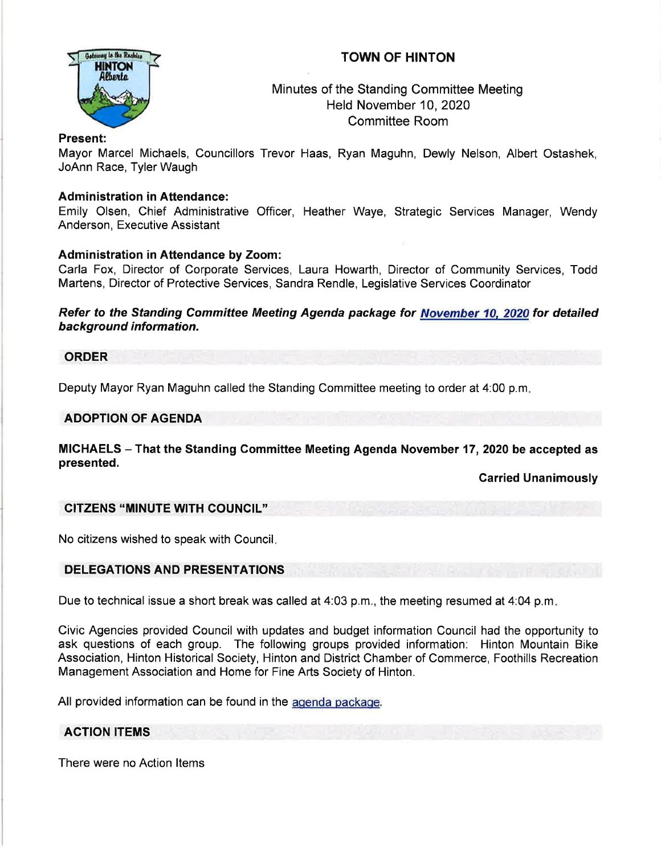# TOWN OF HINTON



Minutes of the Standing Committee Meeting Held November 10,2020 Committee Room

### Present:

Mayor Marcel Michaels, Councillors Trevor Haas, Ryan Maguhn, Dewly Nelson, Albert Ostashek, JoAnn Race, Tyler Waugh

### **Administration in Attendance:**

Emily Olsen, Chief Administrative Officer, Heather Waye, Strategic Services Manager, Wendy Anderson, Executive Assistant

## Administration in Attendance by Zoom:

Carla Fox, Director of Corporate Services, Laura Howarth, Director of Community Services, Todd Martens, Director of Protective Services, Sandra Rendle, Legislative Services Coordinator

Refer to the Standing Committee Meeting Agenda package for November 10. 2020 for detailed background information.

#### ORDER

Deputy Mayor Ryan Maguhn called the Standing Committee meeting to order at 4:00 p.m

## ADOPTION OF AGENDA

MICHAELS - That the Standing Committee Meeting Agenda November 17,2020 be accepted as presented.

Carried Unanimously

#### CITZENS "MINUTE WITH COUNCIL''

No citizens wished to speak with Council

#### DELEGATIONS AND PRESENTATIONS

Due to technical issue a short break was called at 4:03 p.m., the meeting resumed at 4:04 p.m.

Civic Agencies provided Council with updates and budget information Council had the opportunity to ask questions of each group. The following groups provided information: Hinton Mountain Bike Association, Hinton Historical Society, Hinton and District Chamber of Commerce, Foothills Recreation Management Association and Home for Fine Arts Society of Hinton.

All provided information can be found in the agenda package.

### ACTION ITEMS

There were no Action ltems